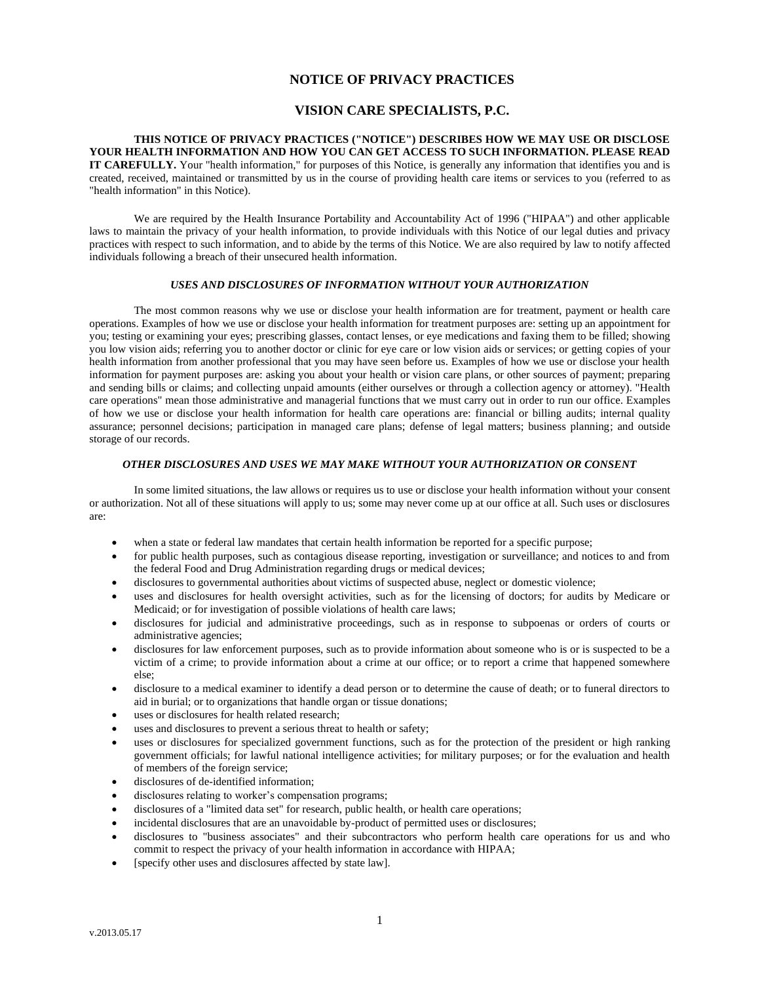# **NOTICE OF PRIVACY PRACTICES**

# **VISION CARE SPECIALISTS, P.C.**

## **THIS NOTICE OF PRIVACY PRACTICES ("NOTICE") DESCRIBES HOW WE MAY USE OR DISCLOSE YOUR HEALTH INFORMATION AND HOW YOU CAN GET ACCESS TO SUCH INFORMATION. PLEASE READ IT CAREFULLY.** Your "health information," for purposes of this Notice, is generally any information that identifies you and is created, received, maintained or transmitted by us in the course of providing health care items or services to you (referred to as "health information" in this Notice).

We are required by the Health Insurance Portability and Accountability Act of 1996 ("HIPAA") and other applicable laws to maintain the privacy of your health information, to provide individuals with this Notice of our legal duties and privacy practices with respect to such information, and to abide by the terms of this Notice. We are also required by law to notify affected individuals following a breach of their unsecured health information.

### *USES AND DISCLOSURES OF INFORMATION WITHOUT YOUR AUTHORIZATION*

The most common reasons why we use or disclose your health information are for treatment, payment or health care operations. Examples of how we use or disclose your health information for treatment purposes are: setting up an appointment for you; testing or examining your eyes; prescribing glasses, contact lenses, or eye medications and faxing them to be filled; showing you low vision aids; referring you to another doctor or clinic for eye care or low vision aids or services; or getting copies of your health information from another professional that you may have seen before us. Examples of how we use or disclose your health information for payment purposes are: asking you about your health or vision care plans, or other sources of payment; preparing and sending bills or claims; and collecting unpaid amounts (either ourselves or through a collection agency or attorney). "Health care operations" mean those administrative and managerial functions that we must carry out in order to run our office. Examples of how we use or disclose your health information for health care operations are: financial or billing audits; internal quality assurance; personnel decisions; participation in managed care plans; defense of legal matters; business planning; and outside storage of our records.

## *OTHER DISCLOSURES AND USES WE MAY MAKE WITHOUT YOUR AUTHORIZATION OR CONSENT*

In some limited situations, the law allows or requires us to use or disclose your health information without your consent or authorization. Not all of these situations will apply to us; some may never come up at our office at all. Such uses or disclosures are:

- when a state or federal law mandates that certain health information be reported for a specific purpose;
- for public health purposes, such as contagious disease reporting, investigation or surveillance; and notices to and from the federal Food and Drug Administration regarding drugs or medical devices;
- disclosures to governmental authorities about victims of suspected abuse, neglect or domestic violence;
- uses and disclosures for health oversight activities, such as for the licensing of doctors; for audits by Medicare or Medicaid; or for investigation of possible violations of health care laws;
- disclosures for judicial and administrative proceedings, such as in response to subpoenas or orders of courts or administrative agencies;
- disclosures for law enforcement purposes, such as to provide information about someone who is or is suspected to be a victim of a crime; to provide information about a crime at our office; or to report a crime that happened somewhere else;
- disclosure to a medical examiner to identify a dead person or to determine the cause of death; or to funeral directors to aid in burial; or to organizations that handle organ or tissue donations;
- uses or disclosures for health related research:
- uses and disclosures to prevent a serious threat to health or safety;
- uses or disclosures for specialized government functions, such as for the protection of the president or high ranking government officials; for lawful national intelligence activities; for military purposes; or for the evaluation and health of members of the foreign service;
- disclosures of de-identified information;
- disclosures relating to worker's compensation programs;
- disclosures of a "limited data set" for research, public health, or health care operations;
- incidental disclosures that are an unavoidable by-product of permitted uses or disclosures;
- disclosures to "business associates" and their subcontractors who perform health care operations for us and who commit to respect the privacy of your health information in accordance with HIPAA;
- [specify other uses and disclosures affected by state law].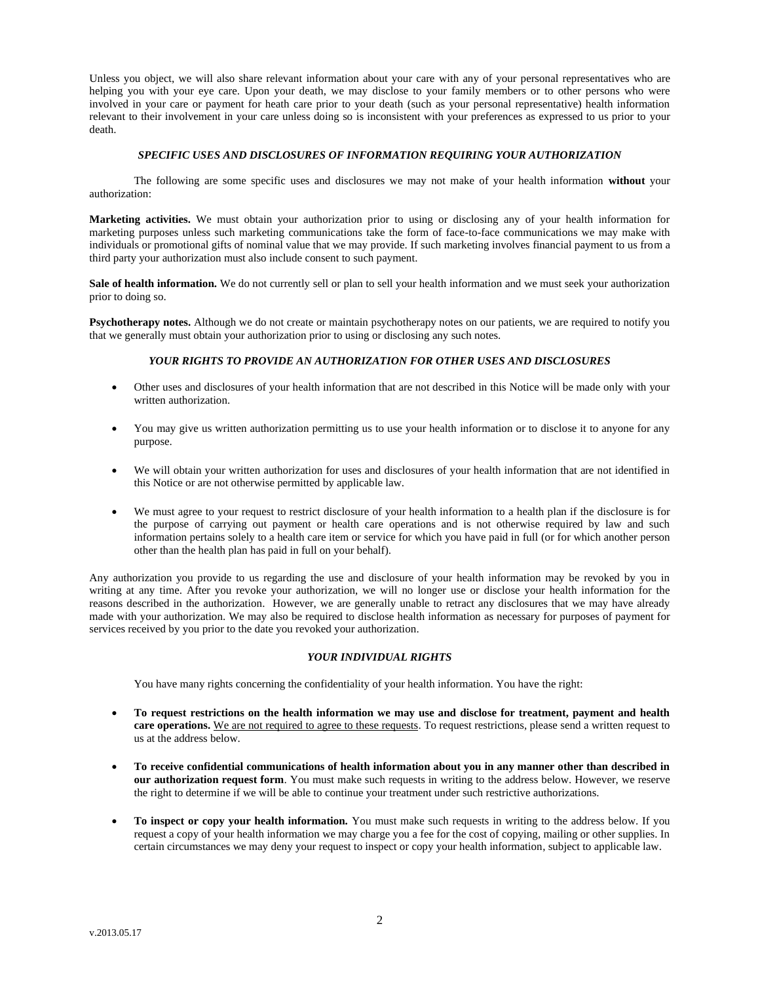Unless you object, we will also share relevant information about your care with any of your personal representatives who are helping you with your eye care. Upon your death, we may disclose to your family members or to other persons who were involved in your care or payment for heath care prior to your death (such as your personal representative) health information relevant to their involvement in your care unless doing so is inconsistent with your preferences as expressed to us prior to your death.

### *SPECIFIC USES AND DISCLOSURES OF INFORMATION REQUIRING YOUR AUTHORIZATION*

The following are some specific uses and disclosures we may not make of your health information **without** your authorization:

**Marketing activities.** We must obtain your authorization prior to using or disclosing any of your health information for marketing purposes unless such marketing communications take the form of face-to-face communications we may make with individuals or promotional gifts of nominal value that we may provide. If such marketing involves financial payment to us from a third party your authorization must also include consent to such payment.

Sale of health information. We do not currently sell or plan to sell your health information and we must seek your authorization prior to doing so.

**Psychotherapy notes.** Although we do not create or maintain psychotherapy notes on our patients, we are required to notify you that we generally must obtain your authorization prior to using or disclosing any such notes.

## *YOUR RIGHTS TO PROVIDE AN AUTHORIZATION FOR OTHER USES AND DISCLOSURES*

- Other uses and disclosures of your health information that are not described in this Notice will be made only with your written authorization.
- You may give us written authorization permitting us to use your health information or to disclose it to anyone for any purpose.
- We will obtain your written authorization for uses and disclosures of your health information that are not identified in this Notice or are not otherwise permitted by applicable law.
- We must agree to your request to restrict disclosure of your health information to a health plan if the disclosure is for the purpose of carrying out payment or health care operations and is not otherwise required by law and such information pertains solely to a health care item or service for which you have paid in full (or for which another person other than the health plan has paid in full on your behalf).

Any authorization you provide to us regarding the use and disclosure of your health information may be revoked by you in writing at any time. After you revoke your authorization, we will no longer use or disclose your health information for the reasons described in the authorization. However, we are generally unable to retract any disclosures that we may have already made with your authorization. We may also be required to disclose health information as necessary for purposes of payment for services received by you prior to the date you revoked your authorization.

#### *YOUR INDIVIDUAL RIGHTS*

You have many rights concerning the confidentiality of your health information. You have the right:

- **To request restrictions on the health information we may use and disclose for treatment, payment and health care operations.** We are not required to agree to these requests. To request restrictions, please send a written request to us at the address below.
- **To receive confidential communications of health information about you in any manner other than described in our authorization request form**. You must make such requests in writing to the address below. However, we reserve the right to determine if we will be able to continue your treatment under such restrictive authorizations.
- **To inspect or copy your health information.** You must make such requests in writing to the address below. If you request a copy of your health information we may charge you a fee for the cost of copying, mailing or other supplies. In certain circumstances we may deny your request to inspect or copy your health information, subject to applicable law.